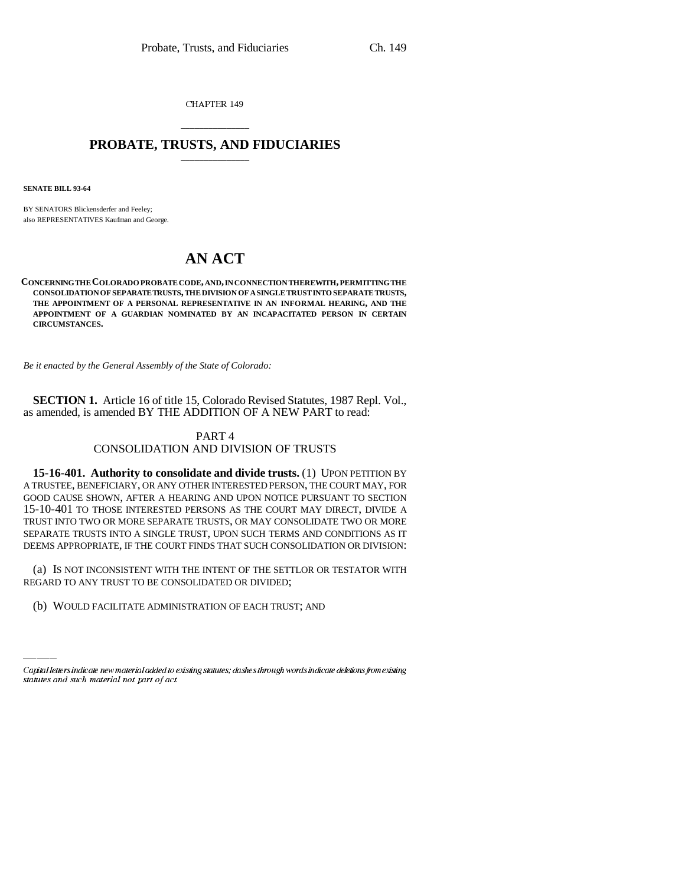CHAPTER 149

## \_\_\_\_\_\_\_\_\_\_\_\_\_\_\_ **PROBATE, TRUSTS, AND FIDUCIARIES** \_\_\_\_\_\_\_\_\_\_\_\_\_\_\_

**SENATE BILL 93-64**

BY SENATORS Blickensderfer and Feeley; also REPRESENTATIVES Kaufman and George.

## **AN ACT**

**CONCERNING THE COLORADO PROBATE CODE, AND, IN CONNECTION THEREWITH, PERMITTING THE CONSOLIDATION OF SEPARATE TRUSTS, THE DIVISION OF A SINGLE TRUST INTO SEPARATE TRUSTS, THE APPOINTMENT OF A PERSONAL REPRESENTATIVE IN AN INFORMAL HEARING, AND THE APPOINTMENT OF A GUARDIAN NOMINATED BY AN INCAPACITATED PERSON IN CERTAIN CIRCUMSTANCES.**

*Be it enacted by the General Assembly of the State of Colorado:*

**SECTION 1.** Article 16 of title 15, Colorado Revised Statutes, 1987 Repl. Vol., as amended, is amended BY THE ADDITION OF A NEW PART to read:

## PART 4 CONSOLIDATION AND DIVISION OF TRUSTS

**15-16-401. Authority to consolidate and divide trusts.** (1) UPON PETITION BY A TRUSTEE, BENEFICIARY, OR ANY OTHER INTERESTED PERSON, THE COURT MAY, FOR GOOD CAUSE SHOWN, AFTER A HEARING AND UPON NOTICE PURSUANT TO SECTION 15-10-401 TO THOSE INTERESTED PERSONS AS THE COURT MAY DIRECT, DIVIDE A TRUST INTO TWO OR MORE SEPARATE TRUSTS, OR MAY CONSOLIDATE TWO OR MORE SEPARATE TRUSTS INTO A SINGLE TRUST, UPON SUCH TERMS AND CONDITIONS AS IT DEEMS APPROPRIATE, IF THE COURT FINDS THAT SUCH CONSOLIDATION OR DIVISION:

(a) IS NOT INCONSISTENT WITH THE INTENT OF THE SET<br>REGARD TO ANY TRUST TO BE CONSOLIDATED OR DIVIDED; (a) IS NOT INCONSISTENT WITH THE INTENT OF THE SETTLOR OR TESTATOR WITH

(b) WOULD FACILITATE ADMINISTRATION OF EACH TRUST; AND

Capital letters indicate new material added to existing statutes; dashes through words indicate deletions from existing statutes and such material not part of act.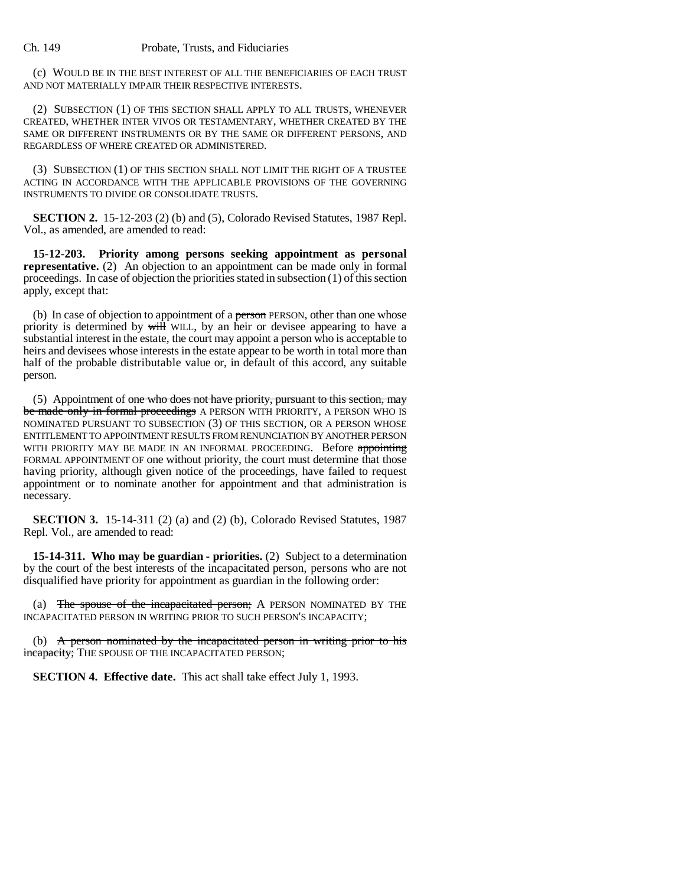## Ch. 149 Probate, Trusts, and Fiduciaries

(c) WOULD BE IN THE BEST INTEREST OF ALL THE BENEFICIARIES OF EACH TRUST AND NOT MATERIALLY IMPAIR THEIR RESPECTIVE INTERESTS.

(2) SUBSECTION (1) OF THIS SECTION SHALL APPLY TO ALL TRUSTS, WHENEVER CREATED, WHETHER INTER VIVOS OR TESTAMENTARY, WHETHER CREATED BY THE SAME OR DIFFERENT INSTRUMENTS OR BY THE SAME OR DIFFERENT PERSONS, AND REGARDLESS OF WHERE CREATED OR ADMINISTERED.

(3) SUBSECTION (1) OF THIS SECTION SHALL NOT LIMIT THE RIGHT OF A TRUSTEE ACTING IN ACCORDANCE WITH THE APPLICABLE PROVISIONS OF THE GOVERNING INSTRUMENTS TO DIVIDE OR CONSOLIDATE TRUSTS.

**SECTION 2.** 15-12-203 (2) (b) and (5), Colorado Revised Statutes, 1987 Repl. Vol., as amended, are amended to read:

**15-12-203. Priority among persons seeking appointment as personal representative.** (2) An objection to an appointment can be made only in formal proceedings. In case of objection the priorities stated in subsection (1) of this section apply, except that:

(b) In case of objection to appointment of a person PERSON, other than one whose priority is determined by will WILL, by an heir or devisee appearing to have a substantial interest in the estate, the court may appoint a person who is acceptable to heirs and devisees whose interests in the estate appear to be worth in total more than half of the probable distributable value or, in default of this accord, any suitable person.

(5) Appointment of one who does not have priority, pursuant to this section, may be made only in formal proceedings A PERSON WITH PRIORITY, A PERSON WHO IS NOMINATED PURSUANT TO SUBSECTION (3) OF THIS SECTION, OR A PERSON WHOSE ENTITLEMENT TO APPOINTMENT RESULTS FROM RENUNCIATION BY ANOTHER PERSON WITH PRIORITY MAY BE MADE IN AN INFORMAL PROCEEDING. Before appointing FORMAL APPOINTMENT OF one without priority, the court must determine that those having priority, although given notice of the proceedings, have failed to request appointment or to nominate another for appointment and that administration is necessary.

**SECTION 3.** 15-14-311 (2) (a) and (2) (b), Colorado Revised Statutes, 1987 Repl. Vol., are amended to read:

**15-14-311. Who may be guardian - priorities.** (2) Subject to a determination by the court of the best interests of the incapacitated person, persons who are not disqualified have priority for appointment as guardian in the following order:

(a) The spouse of the incapacitated person; A PERSON NOMINATED BY THE INCAPACITATED PERSON IN WRITING PRIOR TO SUCH PERSON'S INCAPACITY;

(b) A person nominated by the incapacitated person in writing prior to his incapacity; THE SPOUSE OF THE INCAPACITATED PERSON;

**SECTION 4. Effective date.** This act shall take effect July 1, 1993.